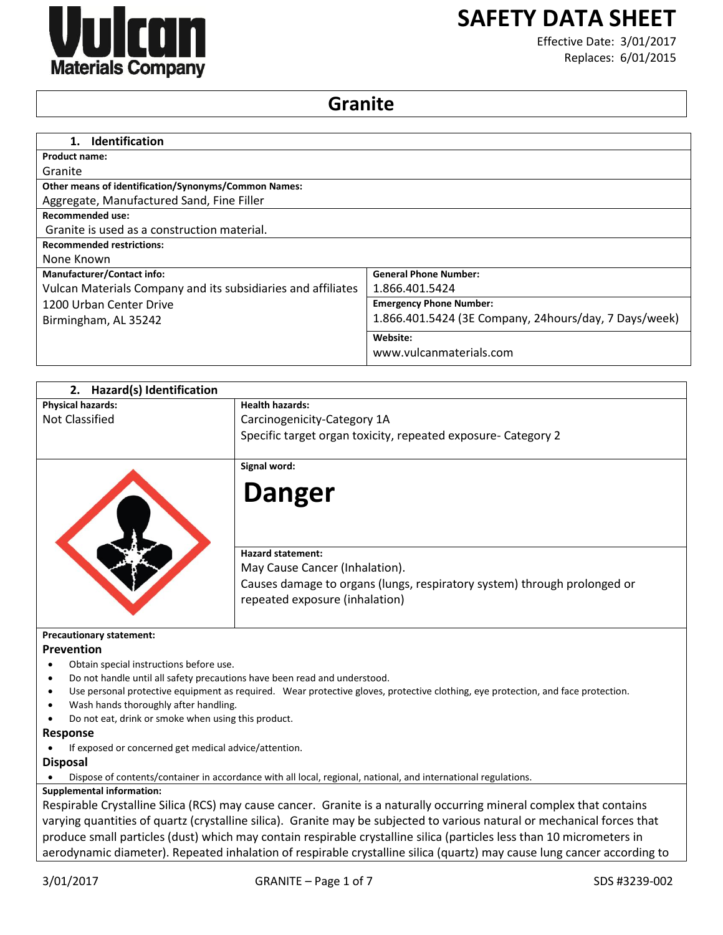

# **SAFETY DATA SHEET**

Effective Date: 3/01/2017 Replaces: 6/01/2015

## **Granite**

| <b>Identification</b><br>1.                                  |                                                       |
|--------------------------------------------------------------|-------------------------------------------------------|
| <b>Product name:</b>                                         |                                                       |
| Granite                                                      |                                                       |
| <b>Other means of identification/Synonyms/Common Names:</b>  |                                                       |
| Aggregate, Manufactured Sand, Fine Filler                    |                                                       |
| <b>Recommended use:</b>                                      |                                                       |
| Granite is used as a construction material.                  |                                                       |
| <b>Recommended restrictions:</b>                             |                                                       |
| None Known                                                   |                                                       |
| <b>Manufacturer/Contact info:</b>                            | <b>General Phone Number:</b>                          |
| Vulcan Materials Company and its subsidiaries and affiliates | 1.866.401.5424                                        |
| 1200 Urban Center Drive                                      | <b>Emergency Phone Number:</b>                        |
| Birmingham, AL 35242                                         | 1.866.401.5424 (3E Company, 24hours/day, 7 Days/week) |
|                                                              | Website:                                              |
|                                                              | www.vulcanmaterials.com                               |

| Hazard(s) Identification<br>2.                        |                                                                                                                                                                                                               |
|-------------------------------------------------------|---------------------------------------------------------------------------------------------------------------------------------------------------------------------------------------------------------------|
| <b>Physical hazards:</b>                              | <b>Health hazards:</b>                                                                                                                                                                                        |
| <b>Not Classified</b>                                 | Carcinogenicity-Category 1A                                                                                                                                                                                   |
|                                                       | Specific target organ toxicity, repeated exposure- Category 2                                                                                                                                                 |
|                                                       | Signal word:                                                                                                                                                                                                  |
|                                                       | <b>Danger</b>                                                                                                                                                                                                 |
|                                                       | <b>Hazard statement:</b><br>May Cause Cancer (Inhalation).                                                                                                                                                    |
|                                                       | Causes damage to organs (lungs, respiratory system) through prolonged or                                                                                                                                      |
|                                                       | repeated exposure (inhalation)                                                                                                                                                                                |
| <b>Precautionary statement:</b>                       |                                                                                                                                                                                                               |
| Prevention                                            |                                                                                                                                                                                                               |
| Obtain special instructions before use.               |                                                                                                                                                                                                               |
| ٠<br>$\bullet$                                        | Do not handle until all safety precautions have been read and understood.<br>Use personal protective equipment as required. Wear protective gloves, protective clothing, eye protection, and face protection. |
| Wash hands thoroughly after handling.                 |                                                                                                                                                                                                               |
| Do not eat, drink or smoke when using this product.   |                                                                                                                                                                                                               |
| <b>Response</b>                                       |                                                                                                                                                                                                               |
| If exposed or concerned get medical advice/attention. |                                                                                                                                                                                                               |
| <b>Disposal</b>                                       |                                                                                                                                                                                                               |
|                                                       | Dispose of contents/container in accordance with all local, regional, national, and international regulations.                                                                                                |
| <b>Supplemental information:</b>                      |                                                                                                                                                                                                               |
|                                                       | Respirable Crystalline Silica (RCS) may cause cancer. Granite is a naturally occurring mineral complex that contains                                                                                          |
|                                                       | varying quantities of quartz (crystalline silica). Granite may be subjected to various natural or mechanical forces that                                                                                      |
|                                                       | produce small particles (dust) which may contain respirable crystalline silica (particles less than 10 micrometers in                                                                                         |

aerodynamic diameter). Repeated inhalation of respirable crystalline silica (quartz) may cause lung cancer according to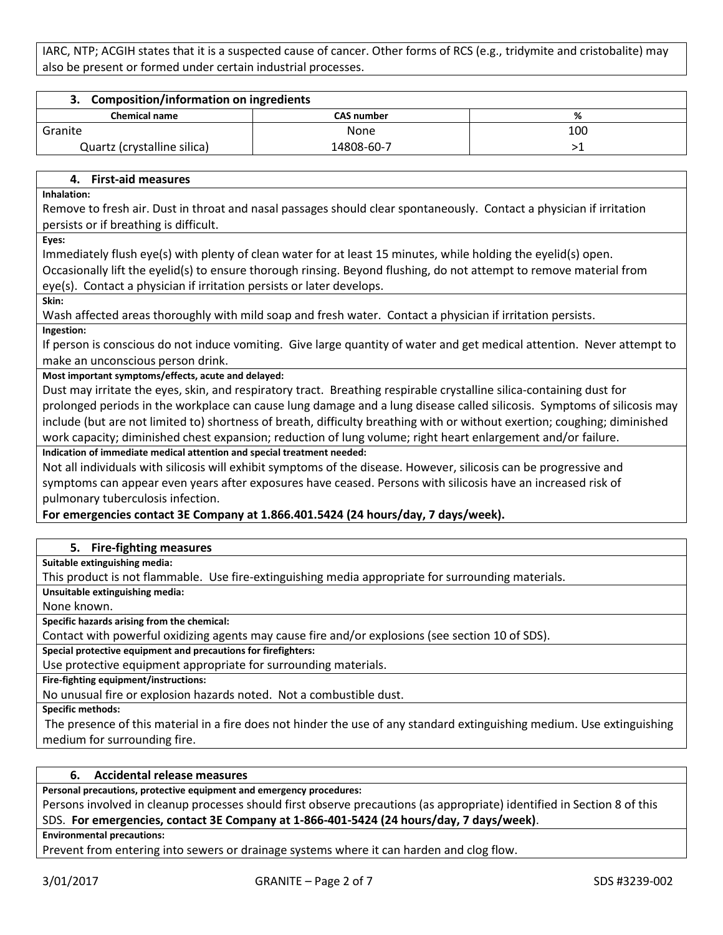IARC, NTP; ACGIH states that it is a suspected cause of cancer. Other forms of RCS (e.g., tridymite and cristobalite) may also be present or formed under certain industrial processes.

| <b>Composition/information on ingredients</b> |                   |     |
|-----------------------------------------------|-------------------|-----|
| <b>Chemical name</b>                          | <b>CAS number</b> | %   |
| Granite                                       | None              | 100 |
| Quartz (crystalline silica)                   | 14808-60-7        |     |

## **4. First-aid measures**

**Inhalation:** 

Remove to fresh air. Dust in throat and nasal passages should clear spontaneously. Contact a physician if irritation persists or if breathing is difficult.

**Eyes:** 

Immediately flush eye(s) with plenty of clean water for at least 15 minutes, while holding the eyelid(s) open.

Occasionally lift the eyelid(s) to ensure thorough rinsing. Beyond flushing, do not attempt to remove material from eye(s). Contact a physician if irritation persists or later develops.

**Skin:** 

Wash affected areas thoroughly with mild soap and fresh water. Contact a physician if irritation persists.

**Ingestion:** 

If person is conscious do not induce vomiting. Give large quantity of water and get medical attention. Never attempt to make an unconscious person drink.

**Most important symptoms/effects, acute and delayed:**

Dust may irritate the eyes, skin, and respiratory tract. Breathing respirable crystalline silica-containing dust for prolonged periods in the workplace can cause lung damage and a lung disease called silicosis. Symptoms of silicosis may include (but are not limited to) shortness of breath, difficulty breathing with or without exertion; coughing; diminished work capacity; diminished chest expansion; reduction of lung volume; right heart enlargement and/or failure.

**Indication of immediate medical attention and special treatment needed:**

Not all individuals with silicosis will exhibit symptoms of the disease. However, silicosis can be progressive and symptoms can appear even years after exposures have ceased. Persons with silicosis have an increased risk of pulmonary tuberculosis infection.

## **For emergencies contact 3E Company at 1.866.401.5424 (24 hours/day, 7 days/week).**

#### **5. Fire-fighting measures**

**Suitable extinguishing media:**

This product is not flammable. Use fire-extinguishing media appropriate for surrounding materials.

**Unsuitable extinguishing media:**

None known.

**Specific hazards arising from the chemical:**

Contact with powerful oxidizing agents may cause fire and/or explosions (see section 10 of SDS).

**Special protective equipment and precautions for firefighters:**

Use protective equipment appropriate for surrounding materials.

**Fire-fighting equipment/instructions:**

No unusual fire or explosion hazards noted. Not a combustible dust.

**Specific methods:**

The presence of this material in a fire does not hinder the use of any standard extinguishing medium. Use extinguishing medium for surrounding fire.

## **6. Accidental release measures**

**Personal precautions, protective equipment and emergency procedures:**

Persons involved in cleanup processes should first observe precautions (as appropriate) identified in Section 8 of this SDS. **For emergencies, contact 3E Company at 1-866-401-5424 (24 hours/day, 7 days/week)**.

**Environmental precautions:**

Prevent from entering into sewers or drainage systems where it can harden and clog flow.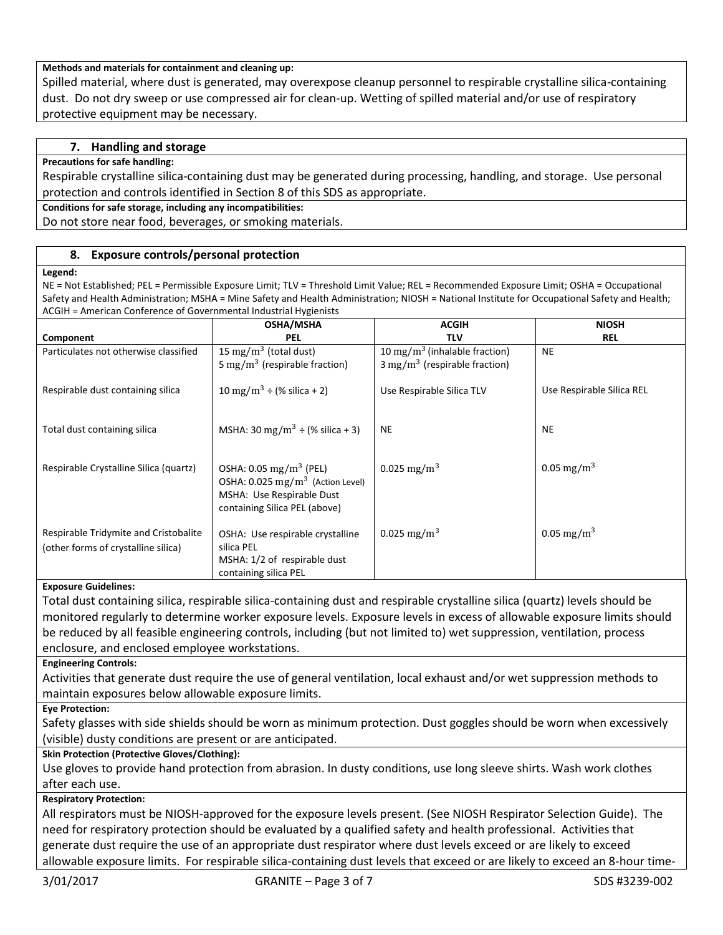#### **Methods and materials for containment and cleaning up:**

Spilled material, where dust is generated, may overexpose cleanup personnel to respirable crystalline silica-containing dust. Do not dry sweep or use compressed air for clean-up. Wetting of spilled material and/or use of respiratory protective equipment may be necessary.

## **7. Handling and storage**

#### **Precautions for safe handling:**

Respirable crystalline silica-containing dust may be generated during processing, handling, and storage. Use personal protection and controls identified in Section 8 of this SDS as appropriate.

**Conditions for safe storage, including any incompatibilities:**

Do not store near food, beverages, or smoking materials.

#### **8. Exposure controls/personal protection**

#### **Legend:**

NE = Not Established; PEL = Permissible Exposure Limit; TLV = Threshold Limit Value; REL = Recommended Exposure Limit; OSHA = Occupational Safety and Health Administration; MSHA = Mine Safety and Health Administration; NIOSH = National Institute for Occupational Safety and Health; ACGIH = American Conference of Governmental Industrial Hygienists

|                                                                                   | <b>OSHA/MSHA</b>                                                                                                                                | <b>ACGIH</b>                              | <b>NIOSH</b>              |
|-----------------------------------------------------------------------------------|-------------------------------------------------------------------------------------------------------------------------------------------------|-------------------------------------------|---------------------------|
| Component                                                                         | <b>PEL</b>                                                                                                                                      | <b>TLV</b>                                | <b>REL</b>                |
| Particulates not otherwise classified                                             | 15 mg/m <sup>3</sup> (total dust)                                                                                                               | 10 mg/m <sup>3</sup> (inhalable fraction) | <b>NE</b>                 |
|                                                                                   | 5 mg/m <sup>3</sup> (respirable fraction)                                                                                                       | $3 \text{ mg/m}^3$ (respirable fraction)  |                           |
| Respirable dust containing silica                                                 | 10 mg/m <sup>3</sup> ÷ (% silica + 2)                                                                                                           | Use Respirable Silica TLV                 | Use Respirable Silica REL |
| Total dust containing silica                                                      | MSHA: 30 mg/m <sup>3</sup> $\div$ (% silica + 3)                                                                                                | <b>NE</b>                                 | <b>NE</b>                 |
| Respirable Crystalline Silica (quartz)                                            | OSHA: $0.05 \text{ mg/m}^3$ (PEL)<br>OSHA: 0.025 mg/m <sup>3</sup> (Action Level)<br>MSHA: Use Respirable Dust<br>containing Silica PEL (above) | 0.025 mg/m <sup>3</sup>                   | 0.05 mg/m <sup>3</sup>    |
| Respirable Tridymite and Cristobalite<br>(other forms of crystalline silica)<br>. | OSHA: Use respirable crystalline<br>silica PEL<br>MSHA: 1/2 of respirable dust<br>containing silica PEL                                         | 0.025 mg/m <sup>3</sup>                   | 0.05 mg/m <sup>3</sup>    |

#### **Exposure Guidelines:**

Total dust containing silica, respirable silica-containing dust and respirable crystalline silica (quartz) levels should be monitored regularly to determine worker exposure levels. Exposure levels in excess of allowable exposure limits should be reduced by all feasible engineering controls, including (but not limited to) wet suppression, ventilation, process enclosure, and enclosed employee workstations.

#### **Engineering Controls:**

Activities that generate dust require the use of general ventilation, local exhaust and/or wet suppression methods to maintain exposures below allowable exposure limits.

**Eye Protection:**

Safety glasses with side shields should be worn as minimum protection. Dust goggles should be worn when excessively (visible) dusty conditions are present or are anticipated.

## **Skin Protection (Protective Gloves/Clothing):**

Use gloves to provide hand protection from abrasion. In dusty conditions, use long sleeve shirts. Wash work clothes after each use.

#### **Respiratory Protection:**

All respirators must be NIOSH-approved for the exposure levels present. (See NIOSH Respirator Selection Guide). The need for respiratory protection should be evaluated by a qualified safety and health professional. Activities that generate dust require the use of an appropriate dust respirator where dust levels exceed or are likely to exceed allowable exposure limits. For respirable silica-containing dust levels that exceed or are likely to exceed an 8-hour time-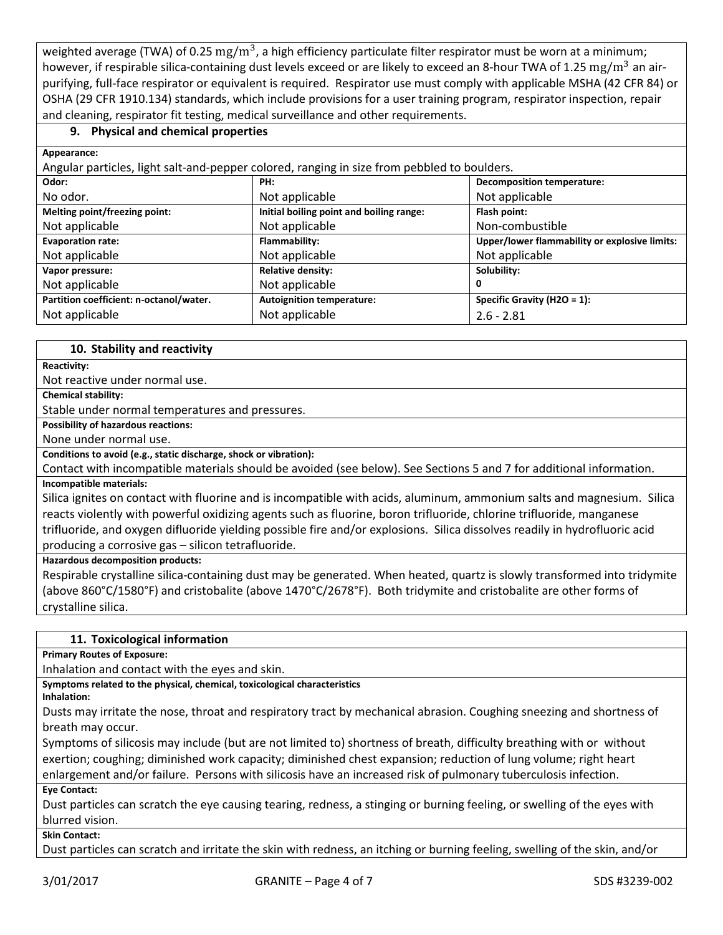weighted average (TWA) of 0.25  $\rm mg/m^3$ , a high efficiency particulate filter respirator must be worn at a minimum; however, if respirable silica-containing dust levels exceed or are likely to exceed an 8-hour TWA of 1.25 mg/m<sup>3</sup> an airpurifying, full-face respirator or equivalent is required. Respirator use must comply with applicable MSHA (42 CFR 84) or OSHA (29 CFR 1910.134) standards, which include provisions for a user training program, respirator inspection, repair and cleaning, respirator fit testing, medical surveillance and other requirements.

## **9. Physical and chemical properties**

**Appearance:**

| Angular particles, light salt-and-pepper colored, ranging in size from pebbled to boulders. |                                          |                                               |  |
|---------------------------------------------------------------------------------------------|------------------------------------------|-----------------------------------------------|--|
| Odor:                                                                                       | PH:                                      | <b>Decomposition temperature:</b>             |  |
| No odor.                                                                                    | Not applicable                           | Not applicable                                |  |
| Melting point/freezing point:                                                               | Initial boiling point and boiling range: | Flash point:                                  |  |
| Not applicable                                                                              | Not applicable                           | Non-combustible                               |  |
| <b>Evaporation rate:</b>                                                                    | Flammability:                            | Upper/lower flammability or explosive limits: |  |
| Not applicable                                                                              | Not applicable                           | Not applicable                                |  |
| Vapor pressure:                                                                             | <b>Relative density:</b>                 | Solubility:                                   |  |
| Not applicable                                                                              | Not applicable                           | 0                                             |  |
| Partition coefficient: n-octanol/water.                                                     | <b>Autoignition temperature:</b>         | Specific Gravity (H2O = 1):                   |  |
| Not applicable                                                                              | Not applicable                           | $2.6 - 2.81$                                  |  |

## **10. Stability and reactivity**

**Reactivity:**

Not reactive under normal use.

**Chemical stability:**

Stable under normal temperatures and pressures.

**Possibility of hazardous reactions:** 

None under normal use.

**Conditions to avoid (e.g., static discharge, shock or vibration):**

Contact with incompatible materials should be avoided (see below). See Sections 5 and 7 for additional information.

#### **Incompatible materials:**

Silica ignites on contact with fluorine and is incompatible with acids, aluminum, ammonium salts and magnesium. Silica reacts violently with powerful oxidizing agents such as fluorine, boron trifluoride, chlorine trifluoride, manganese trifluoride, and oxygen difluoride yielding possible fire and/or explosions. Silica dissolves readily in hydrofluoric acid producing a corrosive gas – silicon tetrafluoride.

#### **Hazardous decomposition products:**

Respirable crystalline silica-containing dust may be generated. When heated, quartz is slowly transformed into tridymite (above 860°C/1580°F) and cristobalite (above 1470°C/2678°F). Both tridymite and cristobalite are other forms of crystalline silica.

#### **11. Toxicological information**

**Primary Routes of Exposure:**

Inhalation and contact with the eyes and skin.

**Symptoms related to the physical, chemical, toxicological characteristics**

**Inhalation:**

Dusts may irritate the nose, throat and respiratory tract by mechanical abrasion. Coughing sneezing and shortness of breath may occur.

Symptoms of silicosis may include (but are not limited to) shortness of breath, difficulty breathing with or without exertion; coughing; diminished work capacity; diminished chest expansion; reduction of lung volume; right heart enlargement and/or failure. Persons with silicosis have an increased risk of pulmonary tuberculosis infection.

**Eye Contact:**

Dust particles can scratch the eye causing tearing, redness, a stinging or burning feeling, or swelling of the eyes with blurred vision.

**Skin Contact:**

Dust particles can scratch and irritate the skin with redness, an itching or burning feeling, swelling of the skin, and/or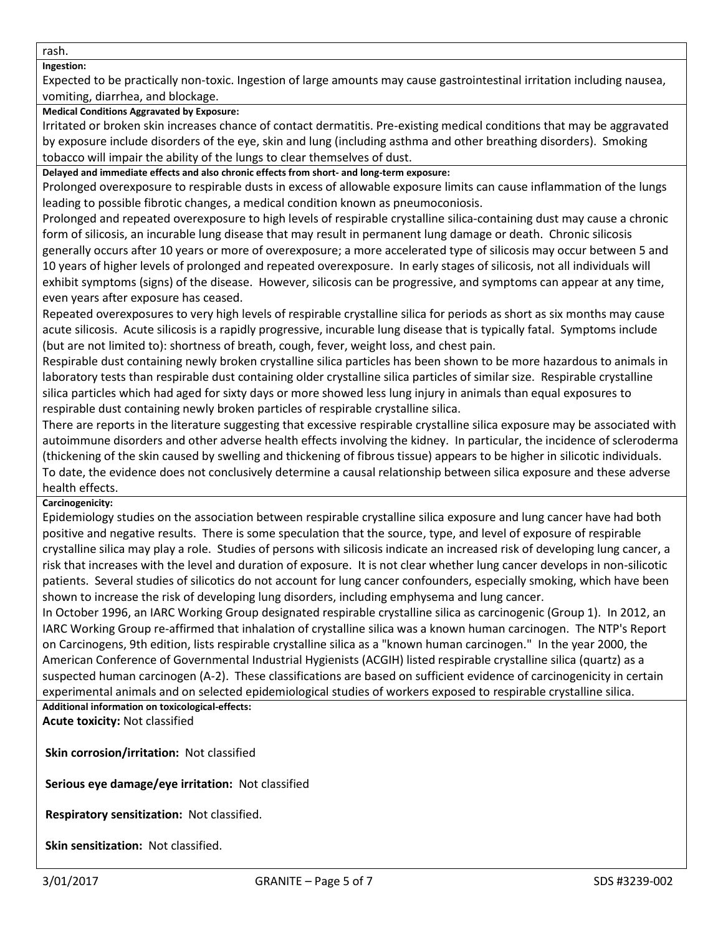rash.

## **Ingestion:**

Expected to be practically non-toxic. Ingestion of large amounts may cause gastrointestinal irritation including nausea, vomiting, diarrhea, and blockage.

## **Medical Conditions Aggravated by Exposure:**

Irritated or broken skin increases chance of contact dermatitis. Pre-existing medical conditions that may be aggravated by exposure include disorders of the eye, skin and lung (including asthma and other breathing disorders). Smoking tobacco will impair the ability of the lungs to clear themselves of dust.

**Delayed and immediate effects and also chronic effects from short- and long-term exposure:**

Prolonged overexposure to respirable dusts in excess of allowable exposure limits can cause inflammation of the lungs leading to possible fibrotic changes, a medical condition known as pneumoconiosis.

Prolonged and repeated overexposure to high levels of respirable crystalline silica-containing dust may cause a chronic form of silicosis, an incurable lung disease that may result in permanent lung damage or death. Chronic silicosis generally occurs after 10 years or more of overexposure; a more accelerated type of silicosis may occur between 5 and 10 years of higher levels of prolonged and repeated overexposure. In early stages of silicosis, not all individuals will exhibit symptoms (signs) of the disease. However, silicosis can be progressive, and symptoms can appear at any time, even years after exposure has ceased.

Repeated overexposures to very high levels of respirable crystalline silica for periods as short as six months may cause acute silicosis. Acute silicosis is a rapidly progressive, incurable lung disease that is typically fatal. Symptoms include (but are not limited to): shortness of breath, cough, fever, weight loss, and chest pain.

Respirable dust containing newly broken crystalline silica particles has been shown to be more hazardous to animals in laboratory tests than respirable dust containing older crystalline silica particles of similar size. Respirable crystalline silica particles which had aged for sixty days or more showed less lung injury in animals than equal exposures to respirable dust containing newly broken particles of respirable crystalline silica.

There are reports in the literature suggesting that excessive respirable crystalline silica exposure may be associated with autoimmune disorders and other adverse health effects involving the kidney. In particular, the incidence of scleroderma (thickening of the skin caused by swelling and thickening of fibrous tissue) appears to be higher in silicotic individuals. To date, the evidence does not conclusively determine a causal relationship between silica exposure and these adverse health effects.

## **Carcinogenicity:**

Epidemiology studies on the association between respirable crystalline silica exposure and lung cancer have had both positive and negative results. There is some speculation that the source, type, and level of exposure of respirable crystalline silica may play a role. Studies of persons with silicosis indicate an increased risk of developing lung cancer, a risk that increases with the level and duration of exposure. It is not clear whether lung cancer develops in non-silicotic patients. Several studies of silicotics do not account for lung cancer confounders, especially smoking, which have been shown to increase the risk of developing lung disorders, including emphysema and lung cancer.

In October 1996, an IARC Working Group designated respirable crystalline silica as carcinogenic (Group 1). In 2012, an IARC Working Group re-affirmed that inhalation of crystalline silica was a known human carcinogen. The NTP's Report on Carcinogens, 9th edition, lists respirable crystalline silica as a "known human carcinogen." In the year 2000, the American Conference of Governmental Industrial Hygienists (ACGIH) listed respirable crystalline silica (quartz) as a suspected human carcinogen (A-2). These classifications are based on sufficient evidence of carcinogenicity in certain experimental animals and on selected epidemiological studies of workers exposed to respirable crystalline silica. **Additional information on toxicological-effects:**

**Acute toxicity:** Not classified

**Skin corrosion/irritation:** Not classified

**Serious eye damage/eye irritation:** Not classified

**Respiratory sensitization:** Not classified.

**Skin sensitization:** Not classified.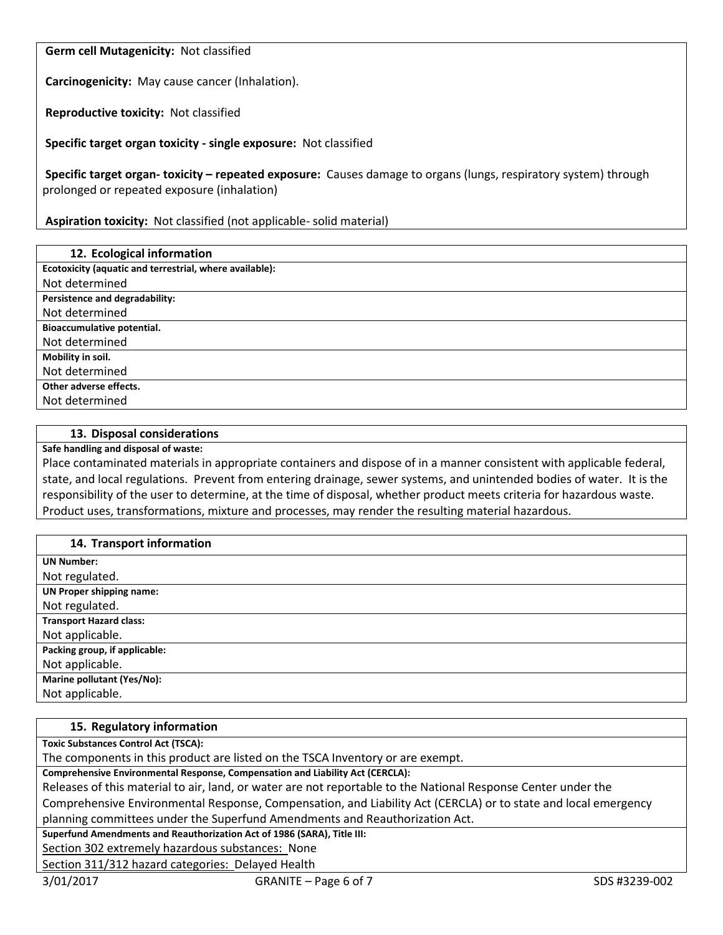**Germ cell Mutagenicity:** Not classified

**Carcinogenicity:** May cause cancer (Inhalation).

**Reproductive toxicity:** Not classified

**Specific target organ toxicity - single exposure:** Not classified

**Specific target organ- toxicity – repeated exposure:** Causes damage to organs (lungs, respiratory system) through prolonged or repeated exposure (inhalation)

**Aspiration toxicity:** Not classified (not applicable- solid material)

| 12. Ecological information                              |
|---------------------------------------------------------|
| Ecotoxicity (aquatic and terrestrial, where available): |
| Not determined                                          |
| Persistence and degradability:                          |
| Not determined                                          |
| Bioaccumulative potential.                              |
| Not determined                                          |
| Mobility in soil.                                       |
| Not determined                                          |
| Other adverse effects.                                  |
| Not determined                                          |

#### **13. Disposal considerations**

**Safe handling and disposal of waste:**

Place contaminated materials in appropriate containers and dispose of in a manner consistent with applicable federal, state, and local regulations. Prevent from entering drainage, sewer systems, and unintended bodies of water. It is the responsibility of the user to determine, at the time of disposal, whether product meets criteria for hazardous waste. Product uses, transformations, mixture and processes, may render the resulting material hazardous.

| 14. Transport information       |
|---------------------------------|
| <b>UN Number:</b>               |
| Not regulated.                  |
| <b>UN Proper shipping name:</b> |
| Not regulated.                  |
| <b>Transport Hazard class:</b>  |
| Not applicable.                 |
| Packing group, if applicable:   |
| Not applicable.                 |
| Marine pollutant (Yes/No):      |
| Not applicable.                 |

## **15. Regulatory information**

**Toxic Substances Control Act (TSCA):**

The components in this product are listed on the TSCA Inventory or are exempt.

**Comprehensive Environmental Response, Compensation and Liability Act (CERCLA):**

Releases of this material to air, land, or water are not reportable to the National Response Center under the

Comprehensive Environmental Response, Compensation, and Liability Act (CERCLA) or to state and local emergency planning committees under the Superfund Amendments and Reauthorization Act.

**Superfund Amendments and Reauthorization Act of 1986 (SARA), Title III:**

Section 302 extremely hazardous substances: None

Section 311/312 hazard categories: Delayed Health